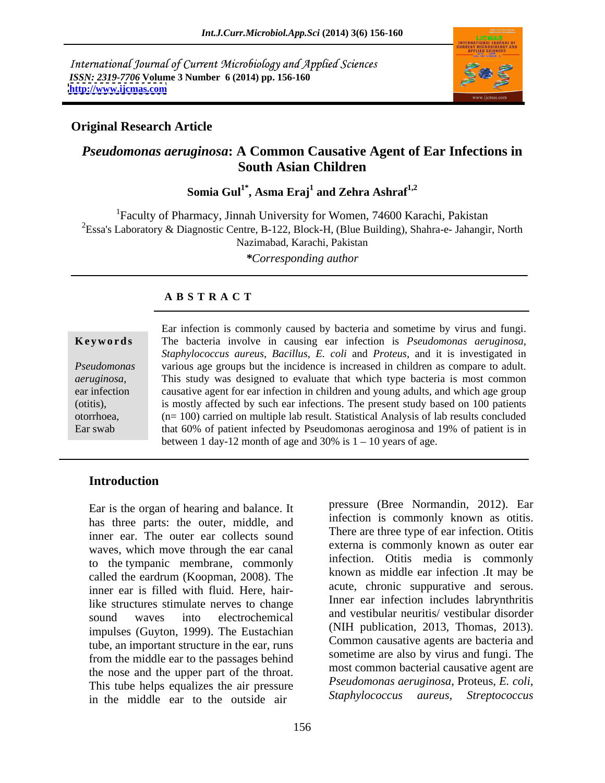International Journal of Current Microbiology and Applied Sciences *ISSN: 2319-7706* **Volume 3 Number 6 (2014) pp. 156-160 <http://www.ijcmas.com>**



## **Original Research Article**

# *Pseudomonas aeruginosa***: A Common Causative Agent of Ear Infections in South Asian Children**

**Somia Gul1\* , Asma Eraj<sup>1</sup> and Zehra Ashraf1,2**

1Faculty of Pharmacy, Jinnah University for Women, 74600 Karachi, Pakistan <sup>2</sup>Essa's Laboratory & Diagnostic Centre, B-122, Block-H, (Blue Building), Shahra-e- Jahangir, North Nazimabad, Karachi, Pakistan

*\*Corresponding author*

## **A B S T R A C T**

| Ear infection is commonly caused by bacteria and sometime by virus and fungi.           |
|-----------------------------------------------------------------------------------------|
| The bacteria involve in causing ear infection is <i>Pseudomonas aeruginosa</i> ,        |
| Staphylococcus aureus, Bacillus, E. coli and Proteus, and it is investigated in         |
| various age groups but the incidence is increased in children as compare to adult.      |
| This study was designed to evaluate that which type bacteria is most common             |
| causative agent for ear infection in children and young adults, and which age group     |
| is mostly affected by such ear infections. The present study based on 100 patients      |
| $(n=100)$ carried on multiple lab result. Statistical Analysis of lab results concluded |
| that 60% of patient infected by Pseudomonas aeroginosa and 19% of patient is in         |
| between 1 day-12 month of age and 30% is $1 - 10$ years of age.                         |
| Keywords                                                                                |

## **Introduction**

Ear is the organ of hearing and balance. It has three parts: the outer, middle, and inner ear. The outer ear collects sound waves, which move through the ear canal to the tympanic membrane, commonly called the eardrum (Koopman, 2008). The inner ear is filled with fluid. Here, hairlike structures stimulate nerves to change sound waves into electrochemical and vestibular neuritis/vestibular disorder impulses (Guyton, 1999). The Eustachian tube, an important structure in the ear, runs from the middle ear to the passages behind the nose and the upper part of the throat. This tube helps equalizes the air pressure *Pseudomonas aeruginosa*, Proteus, E. coli,<br>in the middle car to the outside air *Staphylococcus* aureus, *Streptococcus* in the middle ear to the outside air

pressure (Bree Normandin, 2012). Ear infection is commonly known as otitis. There are three type of ear infection. Otitis externa is commonly known as outer ear infection. Otitis media is commonly known as middle ear infection .It may be acute, chronic suppurative and serous. Inner ear infection includes labrynthritis and vestibular neuritis/ vestibular disorder (NIH publication, 2013, Thomas, 2013). Common causative agents are bacteria and sometime are also by virus and fungi. The most common bacterial causative agent are *Pseudomonas aeruginosa*, Proteus, *E. coli*, *Staphylococcus aureus, Streptococcus*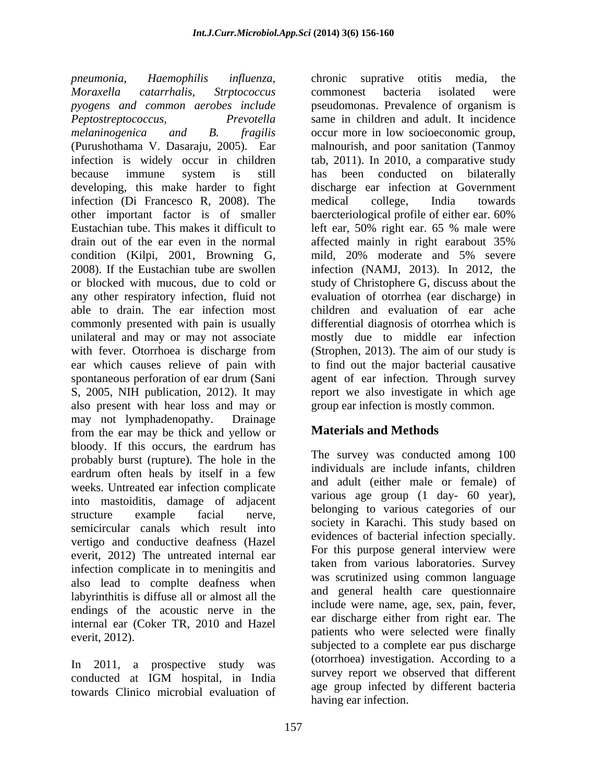*pneumonia, Haemophilis influenza,*  chronic suprative otitis media, the *Moraxella catarrhalis, Strptococcus pyogens and common aerobes include Peptostreptococcus, Prevotella*  same in children and adult. It incidence *melaninogenica and B. fragilis* occur more in low socioeconomic group, (Purushothama V. Dasaraju, 2005). Ear malnourish, and poor sanitation (Tanmoy infection is widely occur in children tab, 2011). In 2010, a comparative study because immune system is still developing, this make harder to fight infection (Di Francesco R, 2008). The other important factor is of smaller baercteriological profile of either ear. 60% Eustachian tube. This makes it difficult to left ear, 50% right ear. 65 % male were drain out of the ear even in the normal affected mainly in right earabout 35% condition (Kilpi, 2001, Browning G, 2008). If the Eustachian tube are swollen infection (NAMJ, 2013). In 2012, the or blocked with mucous, due to cold or study of Christophere G, discuss about the any other respiratory infection, fluid not able to drain. The ear infection most commonly presented with pain is usually differential diagnosis of otorrhea which is unilateral and may or may not associate mostly due to middle ear infection with fever. Otorrhoea is discharge from (Strophen, 2013). The aim of our study is ear which causes relieve of pain with to find out the major bacterial causative spontaneous perforation of ear drum (Sani agent of ear infection. Through survey S, 2005, NIH publication, 2012). It may report we also investigate in which age also present with hear loss and may or may not lymphadenopathy. Drainage from the ear may be thick and yellow or bloody. If this occurs, the eardrum has  $\tau_{\text{min}}$  and  $\tau_{\text{min}}$  and  $\tau_{\text{max}}$  and  $\tau_{\text{max}}$  and  $\tau_{\text{max}}$  and  $\tau_{\text{max}}$  and  $\tau_{\text{max}}$  and  $\tau_{\text{max}}$  and  $\tau_{\text{max}}$  and  $\tau_{\text{max}}$  and  $\tau_{\text{max}}$  and  $\tau_{\text{max}}$  and probably burst (rupture). The hole in the eardrum often heals by itself in a few weeks. Untreated ear infection complicate into mastoiditis, damage of adjacent structure example facial nerve, <sup>belonging</sup> to various categories of our semicircular canals which result into vertigo and conductive deafness (Hazel everit, 2012) The untreated internal ear infection complicate in to meningitis and also lead to complte deafness when labyrinthitis is diffuse all or almost all the endings of the acoustic nerve in the internal ear (Coker TR, 2010 and Hazel everit, 2012). Patterns who were selected were many

In 2011, a prospective study was towards Clinico microbial evaluation of

commonest bacteria isolated were pseudomonas. Prevalence of organism is has been conducted on bilaterally discharge ear infection at Government medical college, India towards baercteriological profile of either ear. 60% affected mainly in right earabout 35% mild, 20% moderate and 5% severe evaluation of otorrhea (ear discharge) in children and evaluation of ear ache agent of ear infection. Through survey group ear infection is mostly common.

# **Materials and Methods**

conducted at IGM hospital, in India survey report we observed that different The survey was conducted among 100 individuals are include infants, children and adult (either male or female) of various age group (1 day- 60 year), belonging to various categories of our society in Karachi. This study based on evidences of bacterial infection specially. For this purpose general interview were taken from various laboratories. Survey was scrutinized using common language and general health care questionnaire include were name, age, sex, pain, fever, ear discharge either from right ear. The patients who were selected were finally subjected to a complete ear pus discharge (otorrhoea) investigation. According to a survey report we observed that different age group infected by different bacteria having ear infection.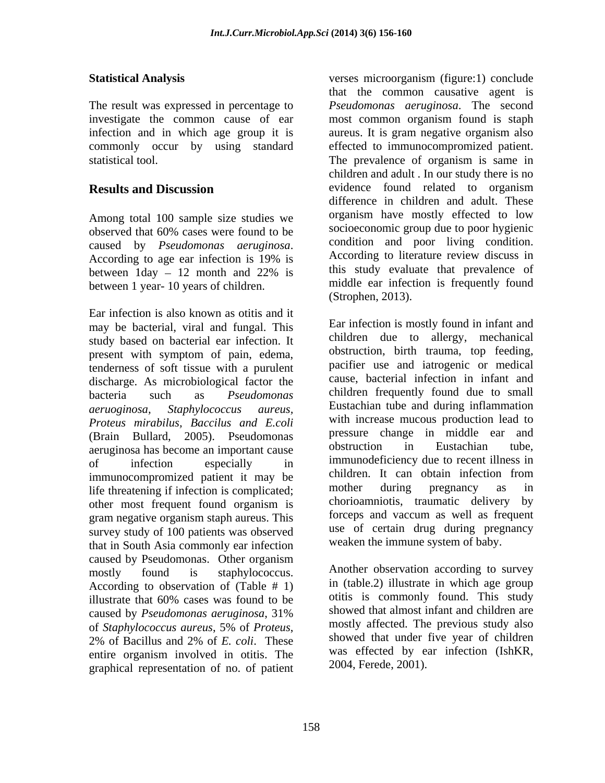The result was expressed in percentage to infection and in which age group it is aureus. It is gram negative organism also

Among total 100 sample size studies we caused by *Pseudomonas aeruginosa*. between 1 year- 10 years of children.

Ear infection is also known as otitis and it may be bacterial, viral and fungal. This study based on bacterial ear infection. It present with symptom of pain, edema, tenderness of soft tissue with a purulent discharge. As microbiological factor the *Proteus mirabilus, Baccilus and E.coli* (Brain Bullard, 2005). Pseudomonas pressure change in middle ear and<br>examples become an important cause obstruction in Eustachian tube. aeruginosa has become an important cause immunocompromized patient it may be children. It can obtain infection from<br>life threatening if infection is complicated. More mother during pregnancy as in life threatening if infection is complicated;<br>the unit of the most frequent found organism is chorioamniotis, traumatic delivery by other most frequent found organism is gram negative organism staph aureus. This survey study of 100 patients was observed that in South Asia commonly ear infection caused by Pseudomonas. Other organism mostly found is staphylococcus. Another observation according to survey According to observation of  $(Table # 1)$ illustrate that 60% cases was found to be outlis is commonly found. This study caused by *Pseudomonas aeruginosa*, 31% of *Staphylococcus aureus*, 5% of *Proteus*, 2% of Bacillus and 2% of *E. coli*. These entire organism involved in otitis. The was effected by ear infection (IshKR, graphical representation of no. of patient

**Statistical Analysis** verses microorganism (figure:1) conclude investigate the common cause of ear most common organism found is staph commonly occur by using standard effected to immunocompromized patient. statistical tool. The prevalence of organism is same in **Results and Discussion Constanting Exercise 2 and Sevidence** found related to organism observed that 60% cases were found to be According to age ear infection is 19% is According to literature review discuss in between  $1$ day  $-12$  month and  $22\%$  is this study evaluate that prevalence of that the common causative agent is *Pseudomonas aeruginosa*. The second aureus. It is gram negative organism also children and adult . In our study there is no evidence found related to organism difference in children and adult. These organism have mostly effected to low socioeconomic group due to poor hygienic condition and poor living condition. According to literature review discuss in this study evaluate that prevalence of middle ear infection is frequently found (Strophen, 2013).

bacteria such as *Pseudomonas*  children frequently found due to small *aeruoginosa, Staphylococcus aureus,*  Eustachian tube and during inflammation of infection especially in immunodeficiency due to recent illness in Ear infection is mostly found in infant and children due to allergy, mechanical obstruction, birth trauma, top feeding, pacifier use and iatrogenic or medical cause, bacterial infection in infant and with increase mucous production lead to pressure change in middle ear and obstruction in Eustachian tube, immunodeficiency due to recent illness in children. It can obtain infection from mother during pregnancy as in chorioamniotis, traumatic delivery by forceps and vaccum as well as frequent use of certain drug during pregnancy weaken the immune system of baby.

> in (table.2) illustrate in which age group otitis is commonly found. This study showed that almost infant and children are mostly affected. The previous study also showed that under five year of children was effected by ear infection (IshKR, 2004, Ferede, 2001).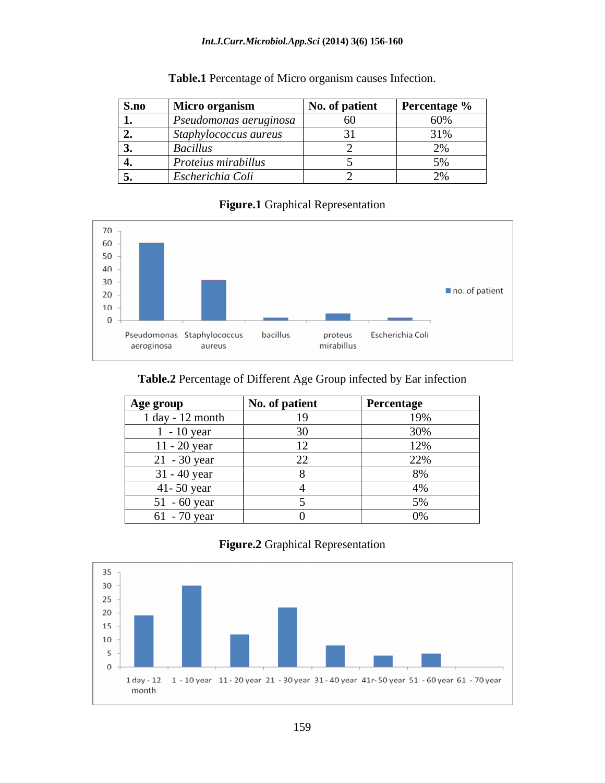### *Int.J.Curr.Microbiol.App.Sci* **(2014) 3(6) 156-160**

| <b>S.no</b> Micro organism                        | No. of patien.                                                  | <b>Percentage</b> %                                                                    |
|---------------------------------------------------|-----------------------------------------------------------------|----------------------------------------------------------------------------------------|
| Pseudomonas aeruginosa                            | -60                                                             | 60%                                                                                    |
| Staphylococcus aureus<br>$\overline{\phantom{a}}$ | $\mathbf{A}$ and $\mathbf{A}$ and $\mathbf{A}$ and $\mathbf{A}$ | 210'                                                                                   |
| Bacil                                             |                                                                 |                                                                                        |
| Proteius mirabillus                               |                                                                 | F''<br>the contract of the contract of the contract of the contract of the contract of |
| Escherichia Coli                                  |                                                                 |                                                                                        |

## **Table.1** Percentage of Micro organism causes Infection.

## **Figure.1** Graphical Representation



## **Table.2** Percentage of Different Age Group infected by Ear infection

| <b>Age group</b> | No. of patient | <b>Percentage</b>    |
|------------------|----------------|----------------------|
| 1 day - 12 month |                | 19%                  |
| $-10$ year       |                |                      |
| $11 - 20$ year   |                | 12%                  |
| $21 - 30$ year   |                | 2270                 |
| 31 - 40 year     |                | $\sim$ $\sim$ $\sim$ |
| $41 - 50$ year   |                |                      |
| $51 - 60$ year   |                |                      |
| $61 - 70$ year   |                |                      |

## **Figure.2** Graphical Representation